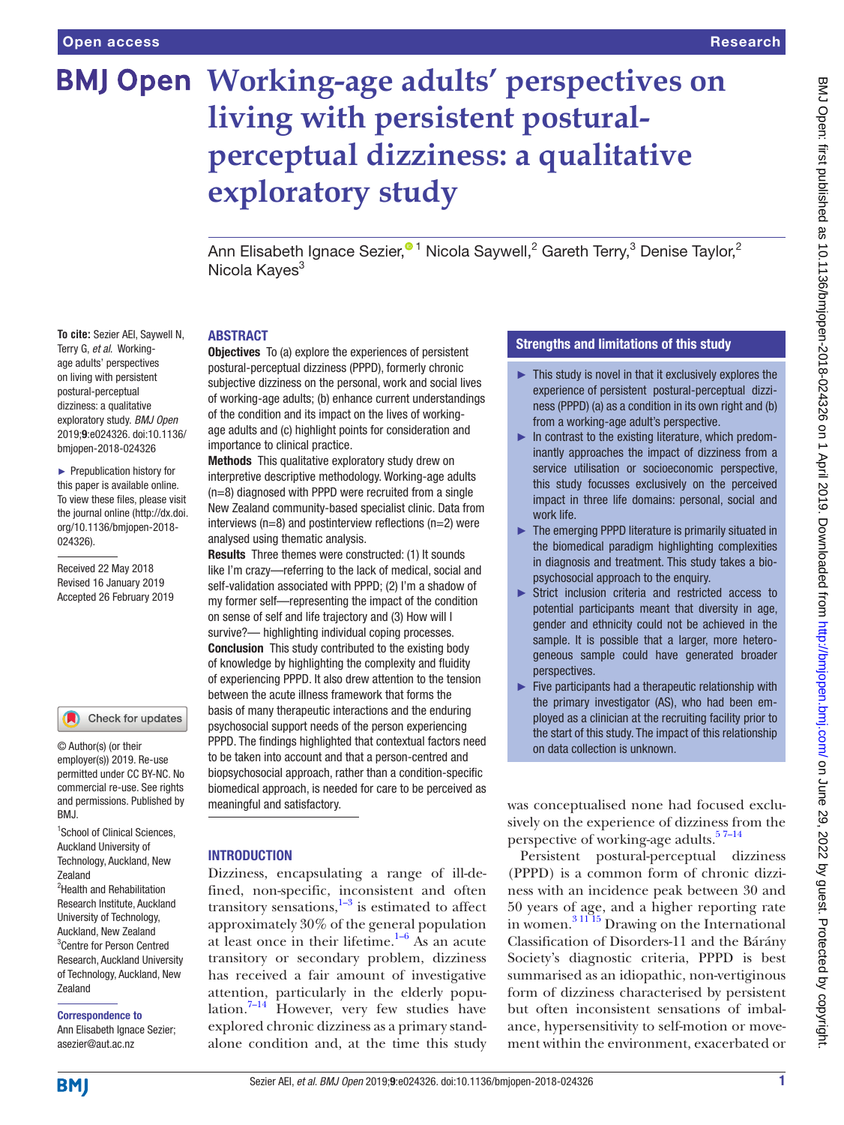**To cite:** Sezier AEI, Saywell N, Terry G, *et al*. Workingage adults' perspectives on living with persistent postural-perceptual dizziness: a qualitative exploratory study. *BMJ Open* 2019;9:e024326. doi:10.1136/ bmjopen-2018-024326 ► Prepublication history for this paper is available online. To view these files, please visit the journal online [\(http://dx.doi.](http://dx.doi.org/10.1136/bmjopen-2018-024326) [org/10.1136/bmjopen-2018-](http://dx.doi.org/10.1136/bmjopen-2018-024326)

[024326\)](http://dx.doi.org/10.1136/bmjopen-2018-024326).

Received 22 May 2018 Revised 16 January 2019 Accepted 26 February 2019

1 School of Clinical Sciences, Auckland University of Technology, Auckland, New

Check for updates

© Author(s) (or their employer(s)) 2019. Re-use permitted under CC BY-NC. No commercial re-use. See rights and permissions. Published by

<sup>2</sup>Health and Rehabilitation Research Institute, Auckland University of Technology, Auckland, New Zealand <sup>3</sup> Centre for Person Centred Research, Auckland University of Technology, Auckland, New

# **BMJ Open Working-age adults' perspectives on living with persistent posturalperceptual dizziness: a qualitative exploratory study**

Ann Elisabeth Ignace Sezier,<sup>o 1</sup> Nicola Saywell,<sup>2</sup> Gareth Terry,<sup>3</sup> Denise Taylor,<sup>2</sup> Nicola Kayes<sup>3</sup>

#### **ABSTRACT**

**Objectives** To (a) explore the experiences of persistent postural-perceptual dizziness (PPPD), formerly chronic subjective dizziness on the personal, work and social lives of working-age adults; (b) enhance current understandings of the condition and its impact on the lives of workingage adults and (c) highlight points for consideration and importance to clinical practice.

Methods This qualitative exploratory study drew on interpretive descriptive methodology. Working-age adults (n=8) diagnosed with PPPD were recruited from a single New Zealand community-based specialist clinic. Data from interviews ( $n=8$ ) and postinterview reflections ( $n=2$ ) were analysed using thematic analysis.

Results Three themes were constructed: (1) It sounds like I'm crazy—referring to the lack of medical, social and self-validation associated with PPPD; (2) I'm a shadow of my former self—representing the impact of the condition on sense of self and life trajectory and (3) How will I survive?— highlighting individual coping processes. Conclusion This study contributed to the existing body of knowledge by highlighting the complexity and fluidity of experiencing PPPD. It also drew attention to the tension between the acute illness framework that forms the basis of many therapeutic interactions and the enduring psychosocial support needs of the person experiencing PPPD. The findings highlighted that contextual factors need to be taken into account and that a person-centred and biopsychosocial approach, rather than a condition-specific biomedical approach, is needed for care to be perceived as meaningful and satisfactory.

#### **INTRODUCTION**

Dizziness, encapsulating a range of ill-defined, non-specific, inconsistent and often transitory sensations, $1-3$  is estimated to affect approximately 30% of the general population at least once in their lifetime. $\frac{1}{6}$  As an acute transitory or secondary problem, dizziness has received a fair amount of investigative attention, particularly in the elderly population. $7-14$  However, very few studies have explored chronic dizziness as a primary standalone condition and, at the time this study

# Strengths and limitations of this study

- $\blacktriangleright$  This study is novel in that it exclusively explores the experience of persistent postural-perceptual dizziness (PPPD) (a) as a condition in its own right and (b) from a working-age adult's perspective.
- $\blacktriangleright$  In contrast to the existing literature, which predominantly approaches the impact of dizziness from a service utilisation or socioeconomic perspective, this study focusses exclusively on the perceived impact in three life domains: personal, social and work life.
- ► The emerging PPPD literature is primarily situated in the biomedical paradigm highlighting complexities in diagnosis and treatment. This study takes a biopsychosocial approach to the enquiry.
- ► Strict inclusion criteria and restricted access to potential participants meant that diversity in age, gender and ethnicity could not be achieved in the sample. It is possible that a larger, more heterogeneous sample could have generated broader perspectives.
- ► Five participants had a therapeutic relationship with the primary investigator (AS), who had been employed as a clinician at the recruiting facility prior to the start of this study. The impact of this relationship on data collection is unknown.

was conceptualised none had focused exclusively on the experience of dizziness from the perspective of working-age adults.<sup>57-14</sup>

Persistent postural-perceptual dizziness (PPPD) is a common form of chronic dizziness with an incidence peak between 30 and 50 years of age, and a higher reporting rate in women. $31115$  Drawing on the International Classification of Disorders-11 and the Bárány Society's diagnostic criteria, PPPD is best summarised as an idiopathic, non-vertiginous form of dizziness characterised by persistent but often inconsistent sensations of imbalance, hypersensitivity to self-motion or movement within the environment, exacerbated or

**BMI** 

Zealand

Correspondence to Ann Elisabeth Ignace Sezier: asezier@aut.ac.nz

Zealand

BMJ.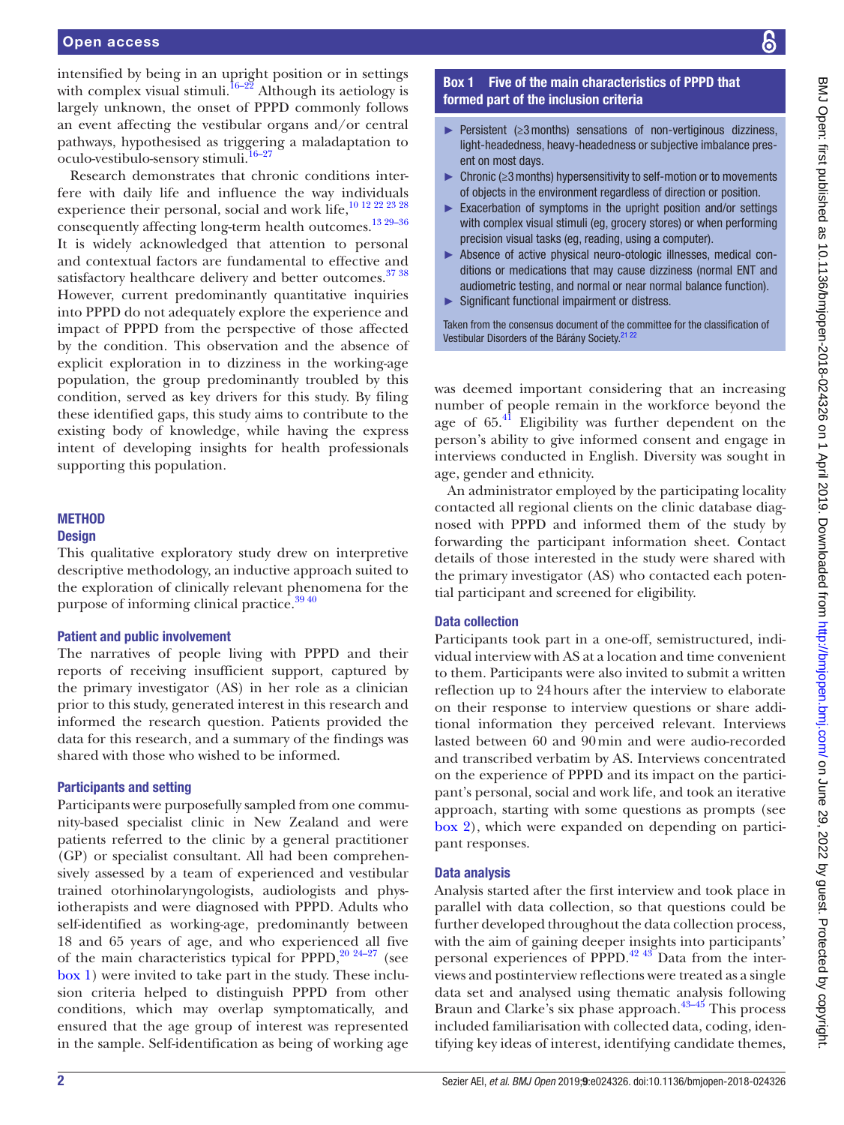intensified by being in an upright position or in settings with complex visual stimuli.<sup>16–22</sup> Although its aetiology is largely unknown, the onset of PPPD commonly follows an event affecting the vestibular organs and/or central pathways, hypothesised as triggering a maladaptation to oculo-vestibulo-sensory stimuli.<sup>16-27</sup>

Research demonstrates that chronic conditions interfere with daily life and influence the way individuals experience their personal, social and work life,<sup>10 12 22 23 28</sup> consequently affecting long-term health outcomes.<sup>13 29-36</sup> It is widely acknowledged that attention to personal and contextual factors are fundamental to effective and satisfactory healthcare delivery and better outcomes.<sup>37</sup> 38 However, current predominantly quantitative inquiries into PPPD do not adequately explore the experience and impact of PPPD from the perspective of those affected by the condition. This observation and the absence of explicit exploration in to dizziness in the working-age population, the group predominantly troubled by this condition, served as key drivers for this study. By filing these identified gaps, this study aims to contribute to the existing body of knowledge, while having the express intent of developing insights for health professionals supporting this population.

# **METHOD**

### **Design**

This qualitative exploratory study drew on interpretive descriptive methodology, an inductive approach suited to the exploration of clinically relevant phenomena for the purpose of informing clinical practice. $39\frac{40}{2}$ 

#### Patient and public involvement

The narratives of people living with PPPD and their reports of receiving insufficient support, captured by the primary investigator (AS) in her role as a clinician prior to this study, generated interest in this research and informed the research question. Patients provided the data for this research, and a summary of the findings was shared with those who wished to be informed.

# Participants and setting

Participants were purposefully sampled from one community-based specialist clinic in New Zealand and were patients referred to the clinic by a general practitioner (GP) or specialist consultant. All had been comprehensively assessed by a team of experienced and vestibular trained otorhinolaryngologists, audiologists and physiotherapists and were diagnosed with PPPD. Adults who self-identified as working-age, predominantly between 18 and 65 years of age, and who experienced all five of the main characteristics typical for PPPD, $20\frac{24-27}{ }$  (see [box](#page-1-0) 1) were invited to take part in the study. These inclusion criteria helped to distinguish PPPD from other conditions, which may overlap symptomatically, and ensured that the age group of interest was represented in the sample. Self-identification as being of working age

# Box 1 Five of the main characteristics of PPPD that formed part of the inclusion criteria

- <span id="page-1-0"></span>► Persistent (≥3months) sensations of non-vertiginous dizziness, light-headedness, heavy-headedness or subjective imbalance present on most days.
- ► Chronic (≥3months) hypersensitivity to self-motion or to movements of objects in the environment regardless of direction or position.
- ► Exacerbation of symptoms in the upright position and/or settings with complex visual stimuli (eg, grocery stores) or when performing precision visual tasks (eg, reading, using a computer).
- ► Absence of active physical neuro-otologic illnesses, medical conditions or medications that may cause dizziness (normal ENT and audiometric testing, and normal or near normal balance function).
- ► Significant functional impairment or distress.

Taken from the consensus document of the committee for the classification of Vestibular Disorders of the Bárány Society.<sup>21 22</sup>

was deemed important considering that an increasing number of people remain in the workforce beyond the age of  $65.^{41}$  $65.^{41}$  $65.^{41}$  Eligibility was further dependent on the person's ability to give informed consent and engage in interviews conducted in English. Diversity was sought in age, gender and ethnicity.

An administrator employed by the participating locality contacted all regional clients on the clinic database diagnosed with PPPD and informed them of the study by forwarding the participant information sheet. Contact details of those interested in the study were shared with the primary investigator (AS) who contacted each potential participant and screened for eligibility.

# Data collection

Participants took part in a one-off, semistructured, individual interview with AS at a location and time convenient to them. Participants were also invited to submit a written reflection up to 24hours after the interview to elaborate on their response to interview questions or share additional information they perceived relevant. Interviews lasted between 60 and 90min and were audio-recorded and transcribed verbatim by AS. Interviews concentrated on the experience of PPPD and its impact on the participant's personal, social and work life, and took an iterative approach, starting with some questions as prompts (see [box](#page-2-0) 2), which were expanded on depending on participant responses.

# Data analysis

Analysis started after the first interview and took place in parallel with data collection, so that questions could be further developed throughout the data collection process, with the aim of gaining deeper insights into participants' personal experiences of PPPD.<sup>42 43</sup> Data from the interviews and postinterview reflections were treated as a single data set and analysed using thematic analysis following Braun and Clarke's six phase approach.<sup>43-45</sup> This process included familiarisation with collected data, coding, identifying key ideas of interest, identifying candidate themes,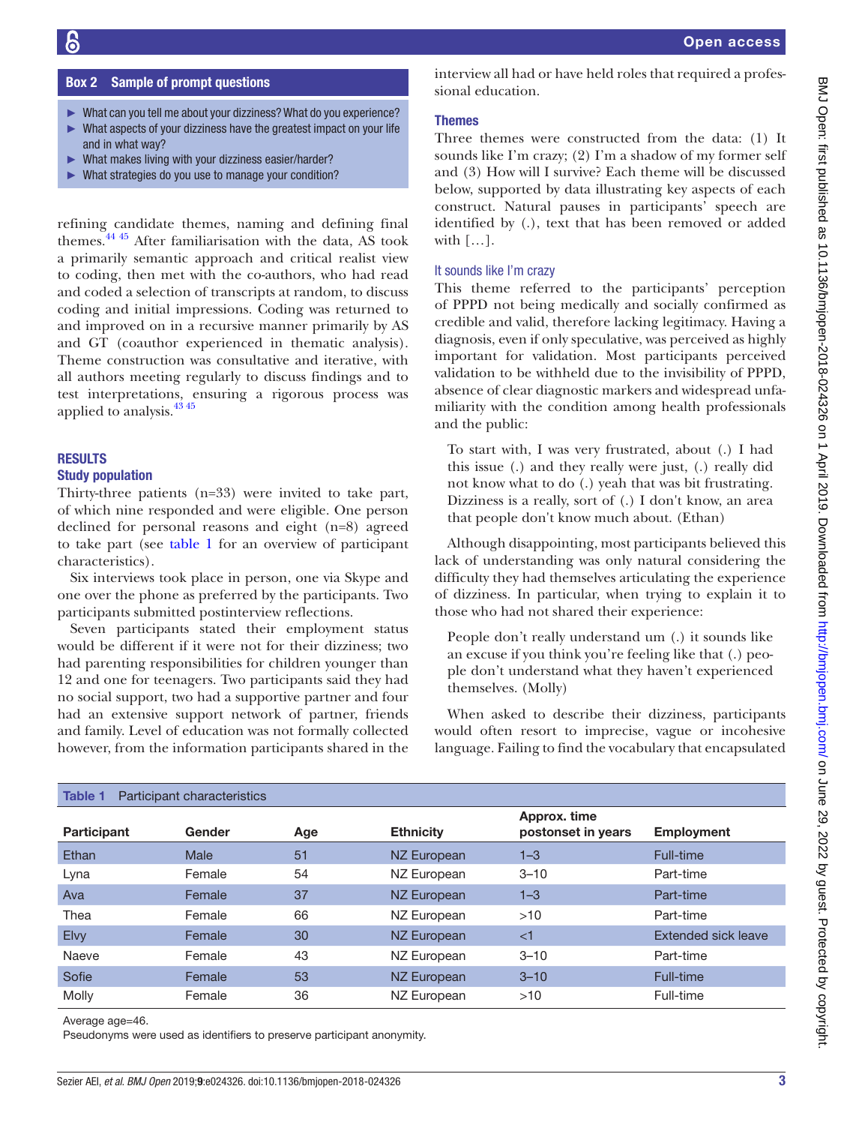# Box 2 Sample of prompt questions

- <span id="page-2-0"></span>► What can you tell me about your dizziness? What do you experience?
- What aspects of your dizziness have the greatest impact on your life and in what way?
- What makes living with your dizziness easier/harder?
- What strategies do you use to manage your condition?

refining candidate themes, naming and defining final themes[.44 45](#page-8-14) After familiarisation with the data, AS took a primarily semantic approach and critical realist view to coding, then met with the co-authors, who had read and coded a selection of transcripts at random, to discuss coding and initial impressions. Coding was returned to and improved on in a recursive manner primarily by AS and GT (coauthor experienced in thematic analysis). Theme construction was consultative and iterative, with all authors meeting regularly to discuss findings and to test interpretations, ensuring a rigorous process was applied to analysis.<sup>43 45</sup>

# **RESULTS**

#### Study population

Thirty-three patients (n=33) were invited to take part, of which nine responded and were eligible. One person declined for personal reasons and eight (n=8) agreed to take part (see [table](#page-2-1) 1 for an overview of participant characteristics).

Six interviews took place in person, one via Skype and one over the phone as preferred by the participants. Two participants submitted postinterview reflections.

Seven participants stated their employment status would be different if it were not for their dizziness; two had parenting responsibilities for children younger than 12 and one for teenagers. Two participants said they had no social support, two had a supportive partner and four had an extensive support network of partner, friends and family. Level of education was not formally collected however, from the information participants shared in the interview all had or have held roles that required a professional education.

### Themes

Three themes were constructed from the data: (1) It sounds like I'm crazy; (2) I'm a shadow of my former self and (3) How will I survive? Each theme will be discussed below, supported by data illustrating key aspects of each construct. Natural pauses in participants' speech are identified by (.), text that has been removed or added with […].

#### It sounds like I'm crazy

This theme referred to the participants' perception of PPPD not being medically and socially confirmed as credible and valid, therefore lacking legitimacy. Having a diagnosis, even if only speculative, was perceived as highly important for validation. Most participants perceived validation to be withheld due to the invisibility of PPPD, absence of clear diagnostic markers and widespread unfamiliarity with the condition among health professionals and the public:

To start with, I was very frustrated, about (.) I had this issue (.) and they really were just, (.) really did not know what to do (.) yeah that was bit frustrating. Dizziness is a really, sort of (.) I don't know, an area that people don't know much about. (Ethan)

Although disappointing, most participants believed this lack of understanding was only natural considering the difficulty they had themselves articulating the experience of dizziness. In particular, when trying to explain it to those who had not shared their experience:

People don't really understand um (.) it sounds like an excuse if you think you're feeling like that (.) people don't understand what they haven't experienced themselves. (Molly)

When asked to describe their dizziness, participants would often resort to imprecise, vague or incohesive language. Failing to find the vocabulary that encapsulated

<span id="page-2-1"></span>

| <b>Table 1</b><br>Participant characteristics |             |     |                  |                                    |                            |
|-----------------------------------------------|-------------|-----|------------------|------------------------------------|----------------------------|
| Participant                                   | Gender      | Age | <b>Ethnicity</b> | Approx. time<br>postonset in years | <b>Employment</b>          |
| Ethan                                         | <b>Male</b> | 51  | NZ European      | 1–3                                | Full-time                  |
| Lyna                                          | Female      | 54  | NZ European      | $3 - 10$                           | Part-time                  |
| Ava                                           | Female      | 37  | NZ European      | 1–3                                | Part-time                  |
| Thea                                          | Female      | 66  | NZ European      | >10                                | Part-time                  |
| <b>Elvy</b>                                   | Female      | 30  | NZ European      | $\leq$ 1                           | <b>Extended sick leave</b> |
| Naeve                                         | Female      | 43  | NZ European      | $3 - 10$                           | Part-time                  |
| Sofie                                         | Female      | 53  | NZ European      | $3 - 10$                           | Full-time                  |
| Molly                                         | Female      | 36  | NZ European      | >10                                | Full-time                  |

Average age=46.

Pseudonyms were used as identifiers to preserve participant anonymity.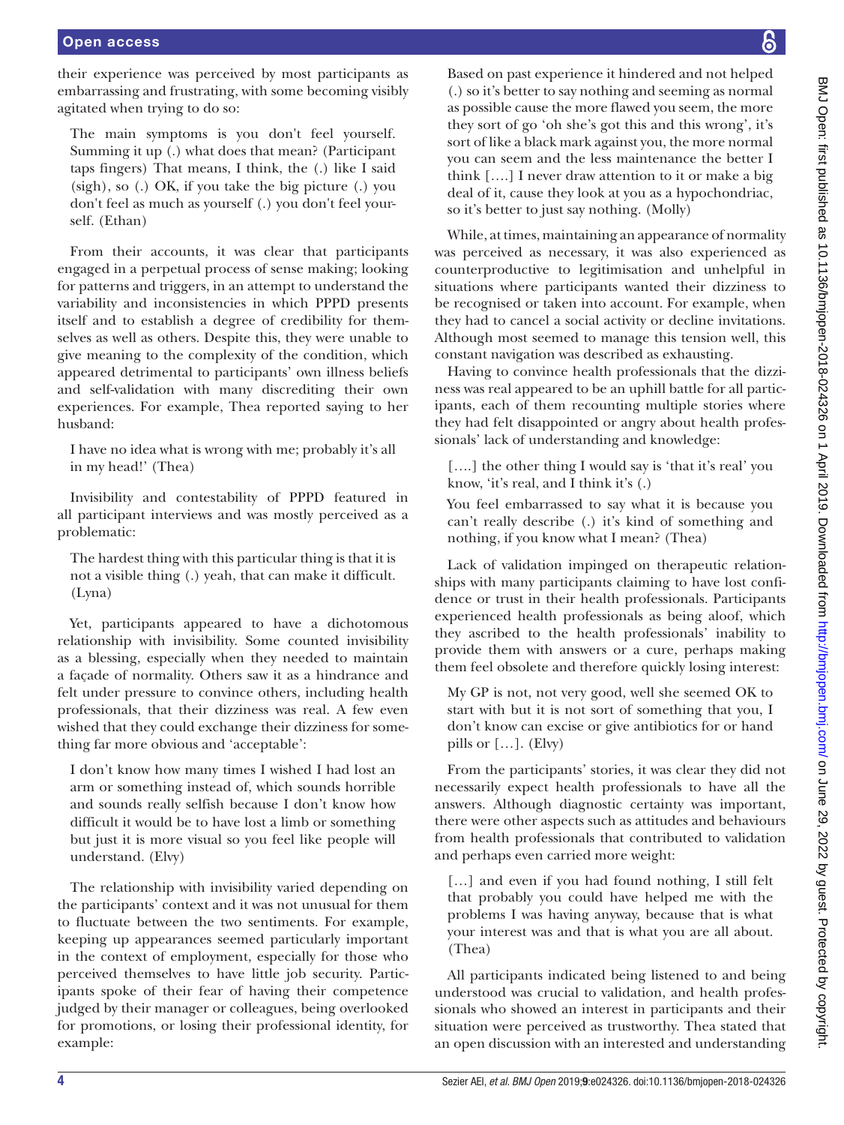their experience was perceived by most participants as embarrassing and frustrating, with some becoming visibly agitated when trying to do so:

The main symptoms is you don't feel yourself. Summing it up (.) what does that mean? (Participant taps fingers) That means, I think, the (.) like I said (sigh), so (.) OK, if you take the big picture (.) you don't feel as much as yourself (.) you don't feel yourself. (Ethan)

From their accounts, it was clear that participants engaged in a perpetual process of sense making; looking for patterns and triggers, in an attempt to understand the variability and inconsistencies in which PPPD presents itself and to establish a degree of credibility for themselves as well as others. Despite this, they were unable to give meaning to the complexity of the condition, which appeared detrimental to participants' own illness beliefs and self-validation with many discrediting their own experiences. For example, Thea reported saying to her husband:

I have no idea what is wrong with me; probably it's all in my head!' (Thea)

Invisibility and contestability of PPPD featured in all participant interviews and was mostly perceived as a problematic:

The hardest thing with this particular thing is that it is not a visible thing (.) yeah, that can make it difficult. (Lyna)

Yet, participants appeared to have a dichotomous relationship with invisibility. Some counted invisibility as a blessing, especially when they needed to maintain a façade of normality. Others saw it as a hindrance and felt under pressure to convince others, including health professionals, that their dizziness was real. A few even wished that they could exchange their dizziness for something far more obvious and 'acceptable':

I don't know how many times I wished I had lost an arm or something instead of, which sounds horrible and sounds really selfish because I don't know how difficult it would be to have lost a limb or something but just it is more visual so you feel like people will understand. (Elvy)

The relationship with invisibility varied depending on the participants' context and it was not unusual for them to fluctuate between the two sentiments. For example, keeping up appearances seemed particularly important in the context of employment, especially for those who perceived themselves to have little job security. Participants spoke of their fear of having their competence judged by their manager or colleagues, being overlooked for promotions, or losing their professional identity, for example:

Based on past experience it hindered and not helped (.) so it's better to say nothing and seeming as normal as possible cause the more flawed you seem, the more they sort of go 'oh she's got this and this wrong', it's sort of like a black mark against you, the more normal you can seem and the less maintenance the better I think [….] I never draw attention to it or make a big deal of it, cause they look at you as a hypochondriac, so it's better to just say nothing. (Molly)

While, at times, maintaining an appearance of normality was perceived as necessary, it was also experienced as counterproductive to legitimisation and unhelpful in situations where participants wanted their dizziness to be recognised or taken into account. For example, when they had to cancel a social activity or decline invitations. Although most seemed to manage this tension well, this constant navigation was described as exhausting.

Having to convince health professionals that the dizziness was real appeared to be an uphill battle for all participants, each of them recounting multiple stories where they had felt disappointed or angry about health professionals' lack of understanding and knowledge:

[....] the other thing I would say is 'that it's real' you know, 'it's real, and I think it's (.)

You feel embarrassed to say what it is because you can't really describe (.) it's kind of something and nothing, if you know what I mean? (Thea)

Lack of validation impinged on therapeutic relationships with many participants claiming to have lost confidence or trust in their health professionals. Participants experienced health professionals as being aloof, which they ascribed to the health professionals' inability to provide them with answers or a cure, perhaps making them feel obsolete and therefore quickly losing interest:

My GP is not, not very good, well she seemed OK to start with but it is not sort of something that you, I don't know can excise or give antibiotics for or hand pills or  $[\ldots]$ . (Elvy)

From the participants' stories, it was clear they did not necessarily expect health professionals to have all the answers. Although diagnostic certainty was important, there were other aspects such as attitudes and behaviours from health professionals that contributed to validation and perhaps even carried more weight:

[...] and even if you had found nothing, I still felt that probably you could have helped me with the problems I was having anyway, because that is what your interest was and that is what you are all about. (Thea)

All participants indicated being listened to and being understood was crucial to validation, and health professionals who showed an interest in participants and their situation were perceived as trustworthy. Thea stated that an open discussion with an interested and understanding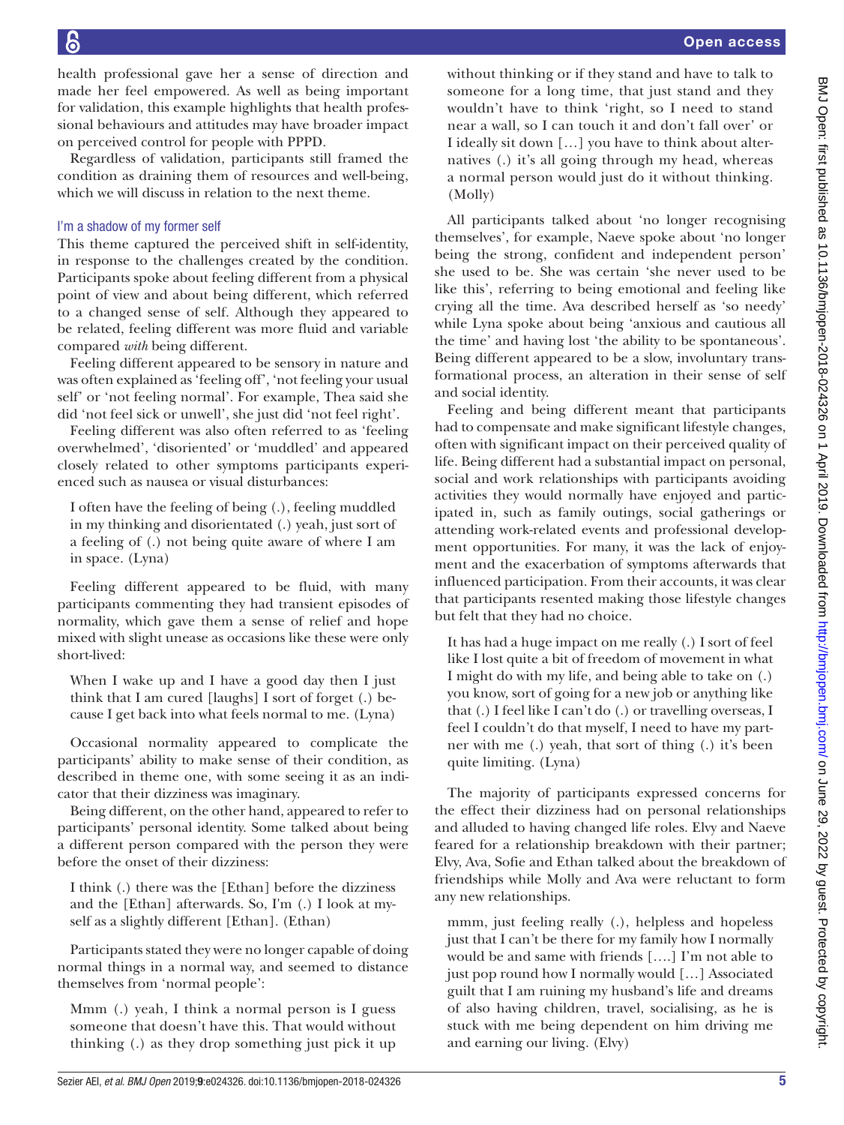health professional gave her a sense of direction and made her feel empowered. As well as being important for validation, this example highlights that health professional behaviours and attitudes may have broader impact on perceived control for people with PPPD.

Regardless of validation, participants still framed the condition as draining them of resources and well-being, which we will discuss in relation to the next theme.

# I'm a shadow of my former self

This theme captured the perceived shift in self-identity, in response to the challenges created by the condition. Participants spoke about feeling different from a physical point of view and about being different, which referred to a changed sense of self. Although they appeared to be related, feeling different was more fluid and variable compared *with* being different.

Feeling different appeared to be sensory in nature and was often explained as 'feeling off', 'not feeling your usual self' or 'not feeling normal'. For example, Thea said she did 'not feel sick or unwell', she just did 'not feel right'.

Feeling different was also often referred to as 'feeling overwhelmed', 'disoriented' or 'muddled' and appeared closely related to other symptoms participants experienced such as nausea or visual disturbances:

I often have the feeling of being (.), feeling muddled in my thinking and disorientated (.) yeah, just sort of a feeling of (.) not being quite aware of where I am in space. (Lyna)

Feeling different appeared to be fluid, with many participants commenting they had transient episodes of normality, which gave them a sense of relief and hope mixed with slight unease as occasions like these were only short-lived:

When I wake up and I have a good day then I just think that I am cured [laughs] I sort of forget (.) because I get back into what feels normal to me. (Lyna)

Occasional normality appeared to complicate the participants' ability to make sense of their condition, as described in theme one, with some seeing it as an indicator that their dizziness was imaginary.

Being different, on the other hand, appeared to refer to participants' personal identity. Some talked about being a different person compared with the person they were before the onset of their dizziness:

I think (.) there was the [Ethan] before the dizziness and the [Ethan] afterwards. So, I'm (.) I look at myself as a slightly different [Ethan]. (Ethan)

Participants stated they were no longer capable of doing normal things in a normal way, and seemed to distance themselves from 'normal people':

Mmm (.) yeah, I think a normal person is I guess someone that doesn't have this. That would without thinking (.) as they drop something just pick it up without thinking or if they stand and have to talk to someone for a long time, that just stand and they wouldn't have to think 'right, so I need to stand near a wall, so I can touch it and don't fall over' or I ideally sit down […] you have to think about alternatives (.) it's all going through my head, whereas a normal person would just do it without thinking. (Molly)

All participants talked about 'no longer recognising themselves', for example, Naeve spoke about 'no longer being the strong, confident and independent person' she used to be. She was certain 'she never used to be like this', referring to being emotional and feeling like crying all the time. Ava described herself as 'so needy' while Lyna spoke about being 'anxious and cautious all the time' and having lost 'the ability to be spontaneous'. Being different appeared to be a slow, involuntary transformational process, an alteration in their sense of self and social identity.

Feeling and being different meant that participants had to compensate and make significant lifestyle changes, often with significant impact on their perceived quality of life. Being different had a substantial impact on personal, social and work relationships with participants avoiding activities they would normally have enjoyed and participated in, such as family outings, social gatherings or attending work-related events and professional development opportunities. For many, it was the lack of enjoyment and the exacerbation of symptoms afterwards that influenced participation. From their accounts, it was clear that participants resented making those lifestyle changes but felt that they had no choice.

It has had a huge impact on me really (.) I sort of feel like I lost quite a bit of freedom of movement in what I might do with my life, and being able to take on (.) you know, sort of going for a new job or anything like that (.) I feel like I can't do (.) or travelling overseas, I feel I couldn't do that myself, I need to have my partner with me (.) yeah, that sort of thing (.) it's been quite limiting. (Lyna)

The majority of participants expressed concerns for the effect their dizziness had on personal relationships and alluded to having changed life roles. Elvy and Naeve feared for a relationship breakdown with their partner; Elvy, Ava, Sofie and Ethan talked about the breakdown of friendships while Molly and Ava were reluctant to form any new relationships.

mmm, just feeling really (.), helpless and hopeless just that I can't be there for my family how I normally would be and same with friends [….] I'm not able to just pop round how I normally would […] Associated guilt that I am ruining my husband's life and dreams of also having children, travel, socialising, as he is stuck with me being dependent on him driving me and earning our living. (Elvy)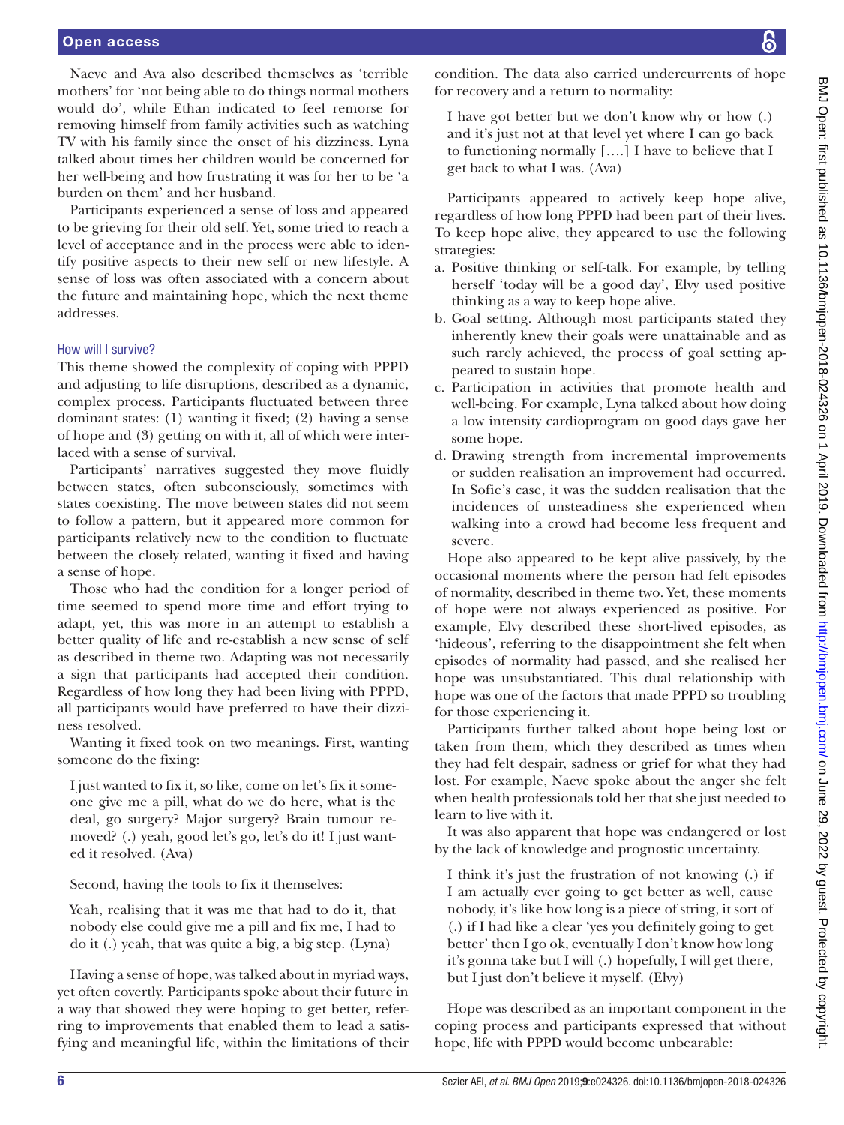Naeve and Ava also described themselves as 'terrible mothers' for 'not being able to do things normal mothers would do', while Ethan indicated to feel remorse for removing himself from family activities such as watching TV with his family since the onset of his dizziness. Lyna talked about times her children would be concerned for her well-being and how frustrating it was for her to be 'a burden on them' and her husband.

Participants experienced a sense of loss and appeared to be grieving for their old self. Yet, some tried to reach a level of acceptance and in the process were able to identify positive aspects to their new self or new lifestyle. A sense of loss was often associated with a concern about the future and maintaining hope, which the next theme addresses.

## How will I survive?

This theme showed the complexity of coping with PPPD and adjusting to life disruptions, described as a dynamic, complex process. Participants fluctuated between three dominant states: (1) wanting it fixed; (2) having a sense of hope and (3) getting on with it, all of which were interlaced with a sense of survival.

Participants' narratives suggested they move fluidly between states, often subconsciously, sometimes with states coexisting. The move between states did not seem to follow a pattern, but it appeared more common for participants relatively new to the condition to fluctuate between the closely related, wanting it fixed and having a sense of hope.

Those who had the condition for a longer period of time seemed to spend more time and effort trying to adapt, yet, this was more in an attempt to establish a better quality of life and re-establish a new sense of self as described in theme two. Adapting was not necessarily a sign that participants had accepted their condition. Regardless of how long they had been living with PPPD, all participants would have preferred to have their dizziness resolved.

Wanting it fixed took on two meanings. First, wanting someone do the fixing:

I just wanted to fix it, so like, come on let's fix it someone give me a pill, what do we do here, what is the deal, go surgery? Major surgery? Brain tumour removed? (.) yeah, good let's go, let's do it! I just wanted it resolved. (Ava)

Second, having the tools to fix it themselves:

Yeah, realising that it was me that had to do it, that nobody else could give me a pill and fix me, I had to do it (.) yeah, that was quite a big, a big step. (Lyna)

Having a sense of hope, was talked about in myriad ways, yet often covertly. Participants spoke about their future in a way that showed they were hoping to get better, referring to improvements that enabled them to lead a satisfying and meaningful life, within the limitations of their

condition. The data also carried undercurrents of hope for recovery and a return to normality:

I have got better but we don't know why or how (.) and it's just not at that level yet where I can go back to functioning normally [….] I have to believe that I get back to what I was. (Ava)

Participants appeared to actively keep hope alive, regardless of how long PPPD had been part of their lives. To keep hope alive, they appeared to use the following strategies:

- a. Positive thinking or self-talk. For example, by telling herself 'today will be a good day', Elvy used positive thinking as a way to keep hope alive.
- b. Goal setting. Although most participants stated they inherently knew their goals were unattainable and as such rarely achieved, the process of goal setting appeared to sustain hope.
- c. Participation in activities that promote health and well-being. For example, Lyna talked about how doing a low intensity cardioprogram on good days gave her some hope.
- d. Drawing strength from incremental improvements or sudden realisation an improvement had occurred. In Sofie's case, it was the sudden realisation that the incidences of unsteadiness she experienced when walking into a crowd had become less frequent and severe.

Hope also appeared to be kept alive passively, by the occasional moments where the person had felt episodes of normality, described in theme two. Yet, these moments of hope were not always experienced as positive. For example, Elvy described these short-lived episodes, as 'hideous', referring to the disappointment she felt when episodes of normality had passed, and she realised her hope was unsubstantiated. This dual relationship with hope was one of the factors that made PPPD so troubling for those experiencing it.

Participants further talked about hope being lost or taken from them, which they described as times when they had felt despair, sadness or grief for what they had lost. For example, Naeve spoke about the anger she felt when health professionals told her that she just needed to learn to live with it.

It was also apparent that hope was endangered or lost by the lack of knowledge and prognostic uncertainty.

I think it's just the frustration of not knowing (.) if I am actually ever going to get better as well, cause nobody, it's like how long is a piece of string, it sort of (.) if I had like a clear 'yes you definitely going to get better' then I go ok, eventually I don't know how long it's gonna take but I will (.) hopefully, I will get there, but I just don't believe it myself. (Elvy)

Hope was described as an important component in the coping process and participants expressed that without hope, life with PPPD would become unbearable: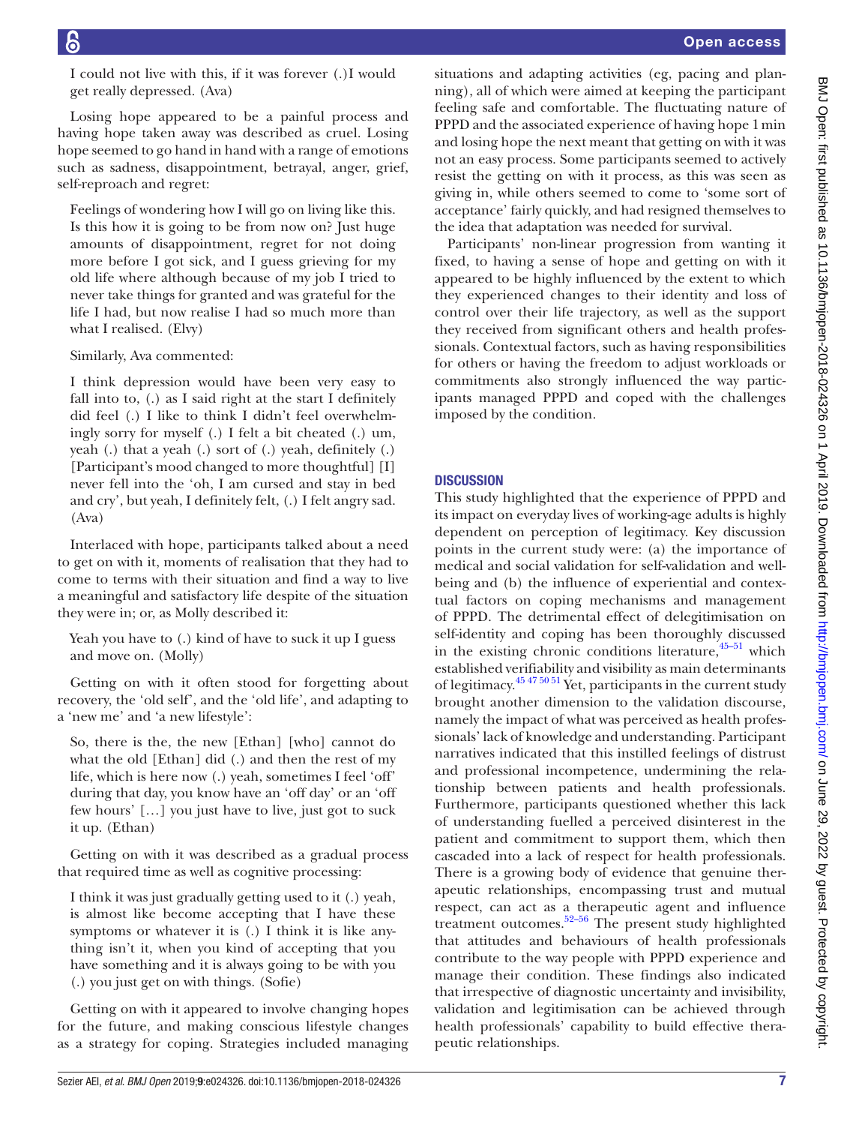I could not live with this, if it was forever (.)I would get really depressed. (Ava)

Losing hope appeared to be a painful process and having hope taken away was described as cruel. Losing hope seemed to go hand in hand with a range of emotions such as sadness, disappointment, betrayal, anger, grief, self-reproach and regret:

Feelings of wondering how I will go on living like this. Is this how it is going to be from now on? Just huge amounts of disappointment, regret for not doing more before I got sick, and I guess grieving for my old life where although because of my job I tried to never take things for granted and was grateful for the life I had, but now realise I had so much more than what I realised. (Elvy)

Similarly, Ava commented:

I think depression would have been very easy to fall into to, (.) as I said right at the start I definitely did feel (.) I like to think I didn't feel overwhelmingly sorry for myself (.) I felt a bit cheated (.) um, yeah (.) that a yeah (.) sort of (.) yeah, definitely (.) [Participant's mood changed to more thoughtful] [I] never fell into the 'oh, I am cursed and stay in bed and cry', but yeah, I definitely felt, (.) I felt angry sad. (Ava)

Interlaced with hope, participants talked about a need to get on with it, moments of realisation that they had to come to terms with their situation and find a way to live a meaningful and satisfactory life despite of the situation they were in; or, as Molly described it:

Yeah you have to (.) kind of have to suck it up I guess and move on. (Molly)

Getting on with it often stood for forgetting about recovery, the 'old self', and the 'old life', and adapting to a 'new me' and 'a new lifestyle':

So, there is the, the new [Ethan] [who] cannot do what the old [Ethan] did (.) and then the rest of my life, which is here now (.) yeah, sometimes I feel 'off' during that day, you know have an 'off day' or an 'off few hours' […] you just have to live, just got to suck it up. (Ethan)

Getting on with it was described as a gradual process that required time as well as cognitive processing:

I think it was just gradually getting used to it (.) yeah, is almost like become accepting that I have these symptoms or whatever it is (.) I think it is like anything isn't it, when you kind of accepting that you have something and it is always going to be with you (.) you just get on with things. (Sofie)

Getting on with it appeared to involve changing hopes for the future, and making conscious lifestyle changes as a strategy for coping. Strategies included managing

situations and adapting activities (eg, pacing and planning), all of which were aimed at keeping the participant feeling safe and comfortable. The fluctuating nature of PPPD and the associated experience of having hope 1min and losing hope the next meant that getting on with it was not an easy process. Some participants seemed to actively resist the getting on with it process, as this was seen as giving in, while others seemed to come to 'some sort of acceptance' fairly quickly, and had resigned themselves to the idea that adaptation was needed for survival.

Participants' non-linear progression from wanting it fixed, to having a sense of hope and getting on with it appeared to be highly influenced by the extent to which they experienced changes to their identity and loss of control over their life trajectory, as well as the support they received from significant others and health professionals. Contextual factors, such as having responsibilities for others or having the freedom to adjust workloads or commitments also strongly influenced the way participants managed PPPD and coped with the challenges imposed by the condition.

#### **DISCUSSION**

This study highlighted that the experience of PPPD and its impact on everyday lives of working-age adults is highly dependent on perception of legitimacy. Key discussion points in the current study were: (a) the importance of medical and social validation for self-validation and wellbeing and (b) the influence of experiential and contextual factors on coping mechanisms and management of PPPD. The detrimental effect of delegitimisation on self-identity and coping has been thoroughly discussed in the existing chronic conditions literature,  $45-51$  which established verifiability and visibility as main determinants of legitimacy. $45475051$  Yet, participants in the current study brought another dimension to the validation discourse, namely the impact of what was perceived as health professionals' lack of knowledge and understanding. Participant narratives indicated that this instilled feelings of distrust and professional incompetence, undermining the relationship between patients and health professionals. Furthermore, participants questioned whether this lack of understanding fuelled a perceived disinterest in the patient and commitment to support them, which then cascaded into a lack of respect for health professionals. There is a growing body of evidence that genuine therapeutic relationships, encompassing trust and mutual respect, can act as a therapeutic agent and influence treatment outcomes[.52–56](#page-8-16) The present study highlighted that attitudes and behaviours of health professionals contribute to the way people with PPPD experience and manage their condition. These findings also indicated that irrespective of diagnostic uncertainty and invisibility, validation and legitimisation can be achieved through health professionals' capability to build effective therapeutic relationships.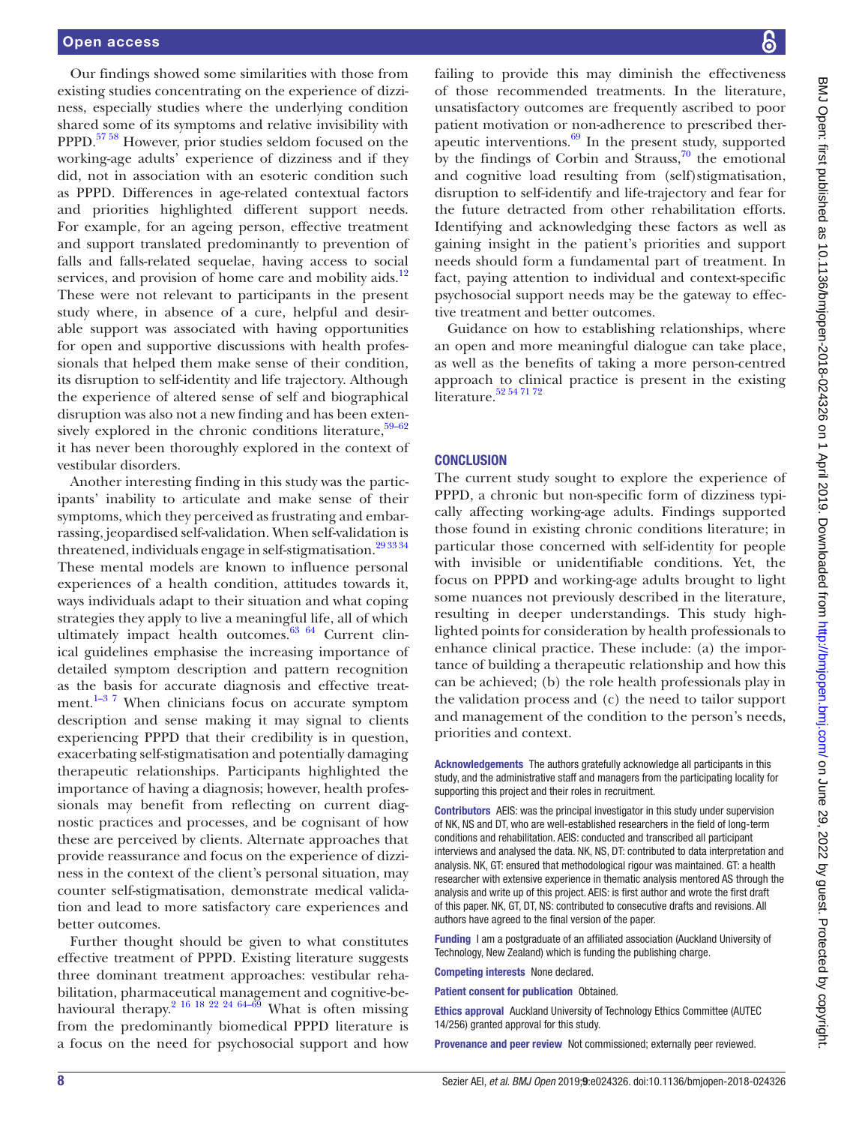Our findings showed some similarities with those from existing studies concentrating on the experience of dizziness, especially studies where the underlying condition shared some of its symptoms and relative invisibility with PPPD.[57 58](#page-9-0) However, prior studies seldom focused on the working-age adults' experience of dizziness and if they did, not in association with an esoteric condition such as PPPD. Differences in age-related contextual factors and priorities highlighted different support needs. For example, for an ageing person, effective treatment and support translated predominantly to prevention of falls and falls-related sequelae, having access to social services, and provision of home care and mobility aids.<sup>12</sup> These were not relevant to participants in the present study where, in absence of a cure, helpful and desirable support was associated with having opportunities for open and supportive discussions with health professionals that helped them make sense of their condition, its disruption to self-identity and life trajectory. Although the experience of altered sense of self and biographical disruption was also not a new finding and has been extensively explored in the chronic conditions literature,  $59-62$ it has never been thoroughly explored in the context of vestibular disorders.

Another interesting finding in this study was the participants' inability to articulate and make sense of their symptoms, which they perceived as frustrating and embarrassing, jeopardised self-validation. When self-validation is threatened, individuals engage in self-stigmatisation.<sup>[29 33 34](#page-8-18)</sup> These mental models are known to influence personal experiences of a health condition, attitudes towards it, ways individuals adapt to their situation and what coping strategies they apply to live a meaningful life, all of which ultimately impact health outcomes. $63/64$  Current clinical guidelines emphasise the increasing importance of detailed symptom description and pattern recognition as the basis for accurate diagnosis and effective treatment. $1-3$ <sup>7</sup> When clinicians focus on accurate symptom description and sense making it may signal to clients experiencing PPPD that their credibility is in question, exacerbating self-stigmatisation and potentially damaging therapeutic relationships. Participants highlighted the importance of having a diagnosis; however, health professionals may benefit from reflecting on current diagnostic practices and processes, and be cognisant of how these are perceived by clients. Alternate approaches that provide reassurance and focus on the experience of dizziness in the context of the client's personal situation, may counter self-stigmatisation, demonstrate medical validation and lead to more satisfactory care experiences and better outcomes.

Further thought should be given to what constitutes effective treatment of PPPD. Existing literature suggests three dominant treatment approaches: vestibular rehabilitation, pharmaceutical management and cognitive-behavioural therapy.<sup>2 16 18 22 24 64–69</sup> What is often missing from the predominantly biomedical PPPD literature is a focus on the need for psychosocial support and how

failing to provide this may diminish the effectiveness of those recommended treatments. In the literature, unsatisfactory outcomes are frequently ascribed to poor patient motivation or non-adherence to prescribed therapeutic interventions. $69$  In the present study, supported by the findings of Corbin and Strauss, $\frac{70}{10}$  the emotional and cognitive load resulting from (self)stigmatisation, disruption to self-identify and life-trajectory and fear for the future detracted from other rehabilitation efforts. Identifying and acknowledging these factors as well as gaining insight in the patient's priorities and support needs should form a fundamental part of treatment. In fact, paying attention to individual and context-specific psychosocial support needs may be the gateway to effective treatment and better outcomes.

Guidance on how to establishing relationships, where an open and more meaningful dialogue can take place, as well as the benefits of taking a more person-centred approach to clinical practice is present in the existing literature.<sup>52</sup> 54 71 72

#### **CONCLUSION**

The current study sought to explore the experience of PPPD, a chronic but non-specific form of dizziness typically affecting working-age adults. Findings supported those found in existing chronic conditions literature; in particular those concerned with self-identity for people with invisible or unidentifiable conditions. Yet, the focus on PPPD and working-age adults brought to light some nuances not previously described in the literature, resulting in deeper understandings. This study highlighted points for consideration by health professionals to enhance clinical practice. These include: (a) the importance of building a therapeutic relationship and how this can be achieved; (b) the role health professionals play in the validation process and (c) the need to tailor support and management of the condition to the person's needs, priorities and context.

Acknowledgements The authors gratefully acknowledge all participants in this study, and the administrative staff and managers from the participating locality for supporting this project and their roles in recruitment.

Contributors AEIS: was the principal investigator in this study under supervision of NK, NS and DT, who are well-established researchers in the field of long-term conditions and rehabilitation. AEIS: conducted and transcribed all participant interviews and analysed the data. NK, NS, DT: contributed to data interpretation and analysis. NK, GT: ensured that methodological rigour was maintained. GT: a health researcher with extensive experience in thematic analysis mentored AS through the analysis and write up of this project. AEIS: is first author and wrote the first draft of this paper. NK, GT, DT, NS: contributed to consecutive drafts and revisions. All authors have agreed to the final version of the paper.

Funding I am a postgraduate of an affiliated association (Auckland University of Technology, New Zealand) which is funding the publishing charge.

Competing interests None declared.

Patient consent for publication Obtained.

Ethics approval Auckland University of Technology Ethics Committee (AUTEC 14/256) granted approval for this study.

Provenance and peer review Not commissioned; externally peer reviewed.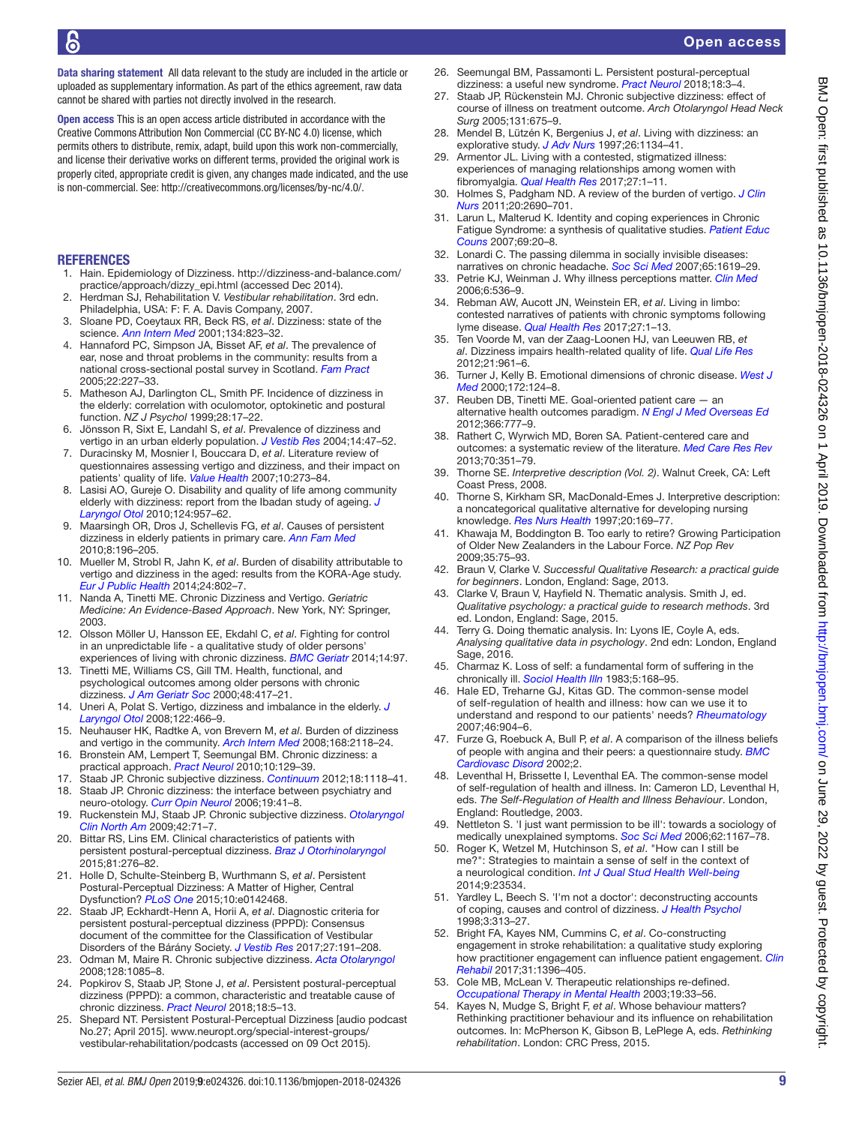# Open access

Data sharing statement All data relevant to the study are included in the article or uploaded as supplementary information. As part of the ethics agreement, raw data cannot be shared with parties not directly involved in the research.

Open access This is an open access article distributed in accordance with the Creative Commons Attribution Non Commercial (CC BY-NC 4.0) license, which permits others to distribute, remix, adapt, build upon this work non-commercially, and license their derivative works on different terms, provided the original work is properly cited, appropriate credit is given, any changes made indicated, and the use is non-commercial. See: <http://creativecommons.org/licenses/by-nc/4.0/>.

#### **REFERENCES**

- <span id="page-8-0"></span>1. Hain. Epidemiology of Dizziness. [http://dizziness-and-balance.com/](http://dizziness-and-balance.com/practice/approach/dizzy_epi.html) [practice/approach/dizzy\\_epi.html](http://dizziness-and-balance.com/practice/approach/dizzy_epi.html) (accessed Dec 2014).
- <span id="page-8-19"></span>2. Herdman SJ, Rehabilitation V. *Vestibular rehabilitation*. 3rd edn. Philadelphia, USA: F: F. A. Davis Company, 2007.
- <span id="page-8-3"></span>3. Sloane PD, Coeytaux RR, Beck RS, *et al*. Dizziness: state of the science. *[Ann Intern Med](http://dx.doi.org/10.7326/0003-4819-134-9_Part_2-200105011-00005)* 2001;134:823–32.
- 4. Hannaford PC, Simpson JA, Bisset AF, *et al*. The prevalence of ear, nose and throat problems in the community: results from a national cross-sectional postal survey in Scotland. *[Fam Pract](http://dx.doi.org/10.1093/fampra/cmi004)* 2005;22:227–33.
- <span id="page-8-2"></span>Matheson AJ, Darlington CL, Smith PF. Incidence of dizziness in the elderly: correlation with oculomotor, optokinetic and postural function. *NZ J Psychol* 1999;28:17–22.
- 6. Jönsson R, Sixt E, Landahl S, *et al*. Prevalence of dizziness and vertigo in an urban elderly population. *[J Vestib Res](http://www.ncbi.nlm.nih.gov/pubmed/15156096)* 2004;14:47–52.
- <span id="page-8-1"></span>7. Duracinsky M, Mosnier I, Bouccara D, *et al*. Literature review of questionnaires assessing vertigo and dizziness, and their impact on patients' quality of life. *[Value Health](http://dx.doi.org/10.1111/j.1524-4733.2007.00182.x)* 2007;10:273–84.
- 8. Lasisi AO, Gureje O. Disability and quality of life among community elderly with dizziness: report from the Ibadan study of ageing. *[J](http://dx.doi.org/10.1017/S0022215110000538)  [Laryngol Otol](http://dx.doi.org/10.1017/S0022215110000538)* 2010;124:957–62.
- 9. Maarsingh OR, Dros J, Schellevis FG, *et al*. Causes of persistent dizziness in elderly patients in primary care. *[Ann Fam Med](http://dx.doi.org/10.1370/afm.1116)* 2010;8:196–205.
- <span id="page-8-5"></span>10. Mueller M, Strobl R, Jahn K, *et al*. Burden of disability attributable to vertigo and dizziness in the aged: results from the KORA-Age study. *[Eur J Public Health](http://dx.doi.org/10.1093/eurpub/ckt171)* 2014;24:802–7.
- 11. Nanda A, Tinetti ME. Chronic Dizziness and Vertigo. *Geriatric Medicine: An Evidence-Based Approach*. New York, NY: Springer, 2003.
- <span id="page-8-17"></span>12. Olsson Möller U, Hansson EE, Ekdahl C, *et al*. Fighting for control in an unpredictable life - a qualitative study of older persons' experiences of living with chronic dizziness. *[BMC Geriatr](http://dx.doi.org/10.1186/1471-2318-14-97)* 2014;14:97.
- <span id="page-8-6"></span>13. Tinetti ME, Williams CS, Gill TM. Health, functional, and psychological outcomes among older persons with chronic dizziness. *[J Am Geriatr Soc](http://dx.doi.org/10.1111/j.1532-5415.2000.tb04700.x)* 2000;48:417–21.
- 14. Uneri A, Polat S. Vertigo, dizziness and imbalance in the elderly. *[J](http://dx.doi.org/10.1017/S0022215107000424)  [Laryngol Otol](http://dx.doi.org/10.1017/S0022215107000424)* 2008;122:466–9.
- 15. Neuhauser HK, Radtke A, von Brevern M, *et al*. Burden of dizziness and vertigo in the community. *[Arch Intern Med](http://dx.doi.org/10.1001/archinte.168.19.2118)* 2008;168:2118–24.
- <span id="page-8-4"></span>16. Bronstein AM, Lempert T, Seemungal BM. Chronic dizziness: a practical approach. *[Pract Neurol](http://dx.doi.org/10.1136/jnnp.2010.211607)* 2010;10:129–39.
- 17. Staab JP. Chronic subjective dizziness. *[Continuum](http://dx.doi.org/10.1212/01.CON.0000421622.56525.58)* 2012;18:1118–41. 18. Staab JP. Chronic dizziness: the interface between psychiatry and
- neuro-otology. *[Curr Opin Neurol](http://dx.doi.org/10.1097/01.wco.0000198102.95294.1f)* 2006;19:41–8. 19. Ruckenstein MJ, Staab JP. Chronic subjective dizziness. *[Otolaryngol](http://dx.doi.org/10.1016/j.otc.2008.09.011)*
- <span id="page-8-9"></span>*[Clin North Am](http://dx.doi.org/10.1016/j.otc.2008.09.011)* 2009;42:71–7. 20. Bittar RS, Lins EM. Clinical characteristics of patients with persistent postural-perceptual dizziness. *[Braz J Otorhinolaryngol](http://dx.doi.org/10.1016/j.bjorl.2014.08.012)* 2015;81:276–82.
- <span id="page-8-13"></span>21. Holle D, Schulte-Steinberg B, Wurthmann S, *et al*. Persistent Postural-Perceptual Dizziness: A Matter of Higher, Central Dysfunction? *[PLoS One](http://dx.doi.org/10.1371/journal.pone.0142468)* 2015;10:e0142468.
- 22. Staab JP, Eckhardt-Henn A, Horii A, *et al*. Diagnostic criteria for persistent postural-perceptual dizziness (PPPD): Consensus document of the committee for the Classification of Vestibular Disorders of the Bárány Society. *[J Vestib Res](http://dx.doi.org/10.3233/VES-170622)* 2017;27:191–208.
- 23. Odman M, Maire R. Chronic subjective dizziness. *[Acta Otolaryngol](http://dx.doi.org/10.1080/00016480701805455)* 2008;128:1085–8.
- 24. Popkirov S, Staab JP, Stone J, *et al*. Persistent postural-perceptual dizziness (PPPD): a common, characteristic and treatable cause of chronic dizziness. *[Pract Neurol](http://dx.doi.org/10.1136/practneurol-2017-001809)* 2018;18:5–13.
- 25. Shepard NT. Persistent Postural-Perceptual Dizziness [audio podcast No.27; April 2015]. [www.neuropt.org/special-interest-groups/](www.neuropt.org/special-interest-groups/vestibular-rehabilitation/podcasts) [vestibular-rehabilitation/podcasts](www.neuropt.org/special-interest-groups/vestibular-rehabilitation/podcasts) (accessed on 09 Oct 2015).
- 26. Seemungal BM, Passamonti L. Persistent postural-perceptual dizziness: a useful new syndrome. *[Pract Neurol](http://dx.doi.org/10.1136/practneurol-2017-001817)* 2018;18:3–4.
- 27. Staab JP, Rückenstein MJ. Chronic subjective dizziness: effect of course of illness on treatment outcome. *Arch Otolaryngol Head Neck Surg* 2005;131:675–9.
- 28. Mendel B, Lützén K, Bergenius J, *et al*. Living with dizziness: an explorative study. *[J Adv Nurs](http://dx.doi.org/10.1111/j.1365-2648.1997.tb00805.x)* 1997;26:1134–41.
- <span id="page-8-18"></span>29. Armentor JL. Living with a contested, stigmatized illness: experiences of managing relationships among women with fibromyalgia. *[Qual Health Res](http://dx.doi.org/10.1177/1049732315620160)* 2017;27:1–11.
- 30. Holmes S, Padgham ND. A review of the burden of vertigo. *[J Clin](http://dx.doi.org/10.1111/j.1365-2702.2010.03585.x)  [Nurs](http://dx.doi.org/10.1111/j.1365-2702.2010.03585.x)* 2011;20:2690–701.
- 31. Larun L, Malterud K. Identity and coping experiences in Chronic Fatigue Syndrome: a synthesis of qualitative studies. *[Patient Educ](http://dx.doi.org/10.1016/j.pec.2007.06.008)  [Couns](http://dx.doi.org/10.1016/j.pec.2007.06.008)* 2007;69:20–8.
- 32. Lonardi C. The passing dilemma in socially invisible diseases: narratives on chronic headache. *[Soc Sci Med](http://dx.doi.org/10.1016/j.socscimed.2007.07.007)* 2007;65:1619–29.
- 33. Petrie KJ, Weinman J. Why illness perceptions matter. *[Clin Med](http://dx.doi.org/10.7861/clinmedicine.6-6-536)* 2006;6:536–9.
- 34. Rebman AW, Aucott JN, Weinstein ER, *et al*. Living in limbo: contested narratives of patients with chronic symptoms following lyme disease. *[Qual Health Res](http://dx.doi.org/10.1177/1049732315619380)* 2017;27:1–13.
- 35. Ten Voorde M, van der Zaag-Loonen HJ, van Leeuwen RB, *et al*. Dizziness impairs health-related quality of life. *[Qual Life Res](http://dx.doi.org/10.1007/s11136-011-0001-x)* 2012;21:961–6.
- 36. Turner J, Kelly B. Emotional dimensions of chronic disease. *[West J](http://dx.doi.org/10.1136/ewjm.172.2.124)  [Med](http://dx.doi.org/10.1136/ewjm.172.2.124)* 2000;172:124–8.
- <span id="page-8-7"></span>37. Reuben DB, Tinetti ME. Goal-oriented patient care — an alternative health outcomes paradigm. *[N Engl J Med Overseas Ed](http://dx.doi.org/10.1056/NEJMp1113631)* 2012;366:777–9.
- 38. Rathert C, Wyrwich MD, Boren SA. Patient-centered care and outcomes: a systematic review of the literature. *[Med Care Res Rev](http://dx.doi.org/10.1177/1077558712465774)* 2013;70:351–79.
- <span id="page-8-8"></span>39. Thorne SE. *Interpretive description (Vol. 2)*. Walnut Creek, CA: Left Coast Press, 2008.
- 40. Thorne S, Kirkham SR, MacDonald-Emes J. Interpretive description: a noncategorical qualitative alternative for developing nursing knowledge. *[Res Nurs Health](http://dx.doi.org/10.1002/(SICI)1098-240X(199704)20:2<169::AID-NUR9>3.0.CO;2-I)* 1997;20:169–77.
- <span id="page-8-10"></span>41. Khawaja M, Boddington B. Too early to retire? Growing Participation of Older New Zealanders in the Labour Force. *NZ Pop Rev* 2009;35:75–93.
- <span id="page-8-11"></span>42. Braun V, Clarke V. *Successful Qualitative Research: a practical guide for beginners*. London, England: Sage, 2013.
- <span id="page-8-12"></span>43. Clarke V, Braun V, Hayfield N. Thematic analysis. Smith J, ed. *Qualitative psychology: a practical guide to research methods*. 3rd ed. London, England: Sage, 2015.
- <span id="page-8-14"></span>44. Terry G. Doing thematic analysis. In: Lyons IE, Coyle A, eds. *Analysing qualitative data in psychology*. 2nd edn: London, England Sage, 2016.
- <span id="page-8-15"></span>45. Charmaz K. Loss of self: a fundamental form of suffering in the chronically ill. *[Sociol Health Illn](http://dx.doi.org/10.1111/1467-9566.ep10491512)* 1983;5:168–95.
- 46. Hale ED, Treharne GJ, Kitas GD. The common-sense model of self-regulation of health and illness: how can we use it to understand and respond to our patients' needs? *[Rheumatology](http://dx.doi.org/10.1093/rheumatology/kem060)* 2007;46:904–6.
- 47. Furze G, Roebuck A, Bull P, *et al*. A comparison of the illness beliefs of people with angina and their peers: a questionnaire study. *[BMC](http://dx.doi.org/10.1186/1471-2261-2-4)  [Cardiovasc Disord](http://dx.doi.org/10.1186/1471-2261-2-4)* 2002;2.
- 48. Leventhal H, Brissette I, Leventhal EA. The common-sense model of self-regulation of health and illness. In: Cameron LD, Leventhal H, eds. *The Self-Regulation of Health and Illness Behaviour*. London, England: Routledge, 2003.
- 49. Nettleton S. 'I just want permission to be ill': towards a sociology of medically unexplained symptoms. *[Soc Sci Med](http://dx.doi.org/10.1016/j.socscimed.2005.07.030)* 2006;62:1167–78.
- 50. Roger K, Wetzel M, Hutchinson S, *et al*. "How can I still be me?": Strategies to maintain a sense of self in the context of a neurological condition. *[Int J Qual Stud Health Well-being](http://dx.doi.org/10.3402/qhw.v9.23534)* 2014;9:23534.
- 51. Yardley L, Beech S. 'I'm not a doctor': deconstructing accounts of coping, causes and control of dizziness. *[J Health Psychol](http://dx.doi.org/10.1177/135910539800300303)* 1998;3:313–27.
- <span id="page-8-16"></span>52. Bright FA, Kayes NM, Cummins C, *et al*. Co-constructing engagement in stroke rehabilitation: a qualitative study exploring how practitioner engagement can influence patient engagement. *[Clin](http://dx.doi.org/10.1177/0269215517694678)  [Rehabil](http://dx.doi.org/10.1177/0269215517694678)* 2017;31:1396–405.
- 53. Cole MB, McLean V. Therapeutic relationships re-defined. *[Occupational Therapy in Mental Health](http://dx.doi.org/10.1300/J004v19n02_03)* 2003;19:33–56.
- 54. Kayes N, Mudge S, Bright F, *et al*. Whose behaviour matters? Rethinking practitioner behaviour and its influence on rehabilitation outcomes. In: McPherson K, Gibson B, LePlege A, eds. *Rethinking rehabilitation*. London: CRC Press, 2015.